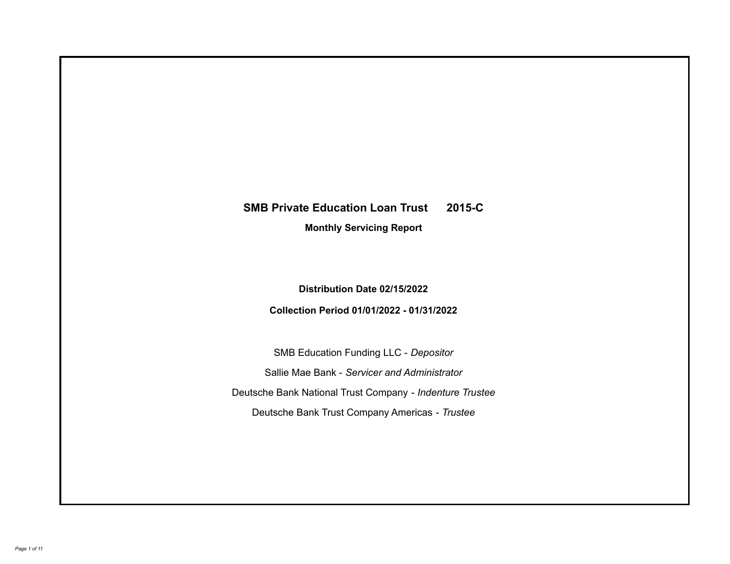# **SMB Private Education Loan Trust 2015-C**

**Monthly Servicing Report**

**Distribution Date 02/15/2022**

**Collection Period 01/01/2022 - 01/31/2022**

SMB Education Funding LLC - *Depositor* Sallie Mae Bank - *Servicer and Administrator* Deutsche Bank National Trust Company - *Indenture Trustee* Deutsche Bank Trust Company Americas - *Trustee*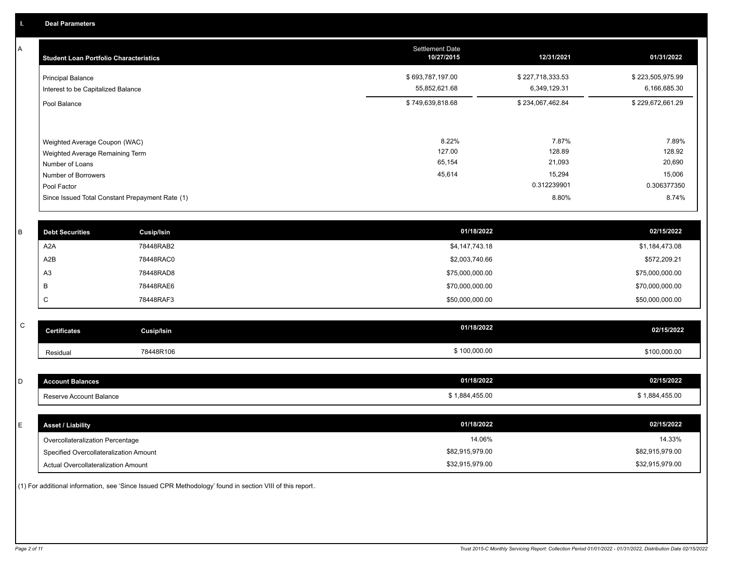A

| <b>Student Loan Portfolio Characteristics</b>                                                                             | <b>Settlement Date</b><br>10/27/2015 | 12/31/2021                                         | 01/31/2022                                         |
|---------------------------------------------------------------------------------------------------------------------------|--------------------------------------|----------------------------------------------------|----------------------------------------------------|
| <b>Principal Balance</b><br>Interest to be Capitalized Balance                                                            | \$693,787,197.00<br>55,852,621.68    | \$227,718,333.53<br>6,349,129.31                   | \$223,505,975.99<br>6,166,685.30                   |
| Pool Balance                                                                                                              | \$749,639,818.68                     | \$234,067,462.84                                   | \$229,672,661.29                                   |
| Weighted Average Coupon (WAC)<br>Weighted Average Remaining Term<br>Number of Loans<br>Number of Borrowers<br>Pool Factor | 8.22%<br>127.00<br>65,154<br>45,614  | 7.87%<br>128.89<br>21,093<br>15,294<br>0.312239901 | 7.89%<br>128.92<br>20,690<br>15,006<br>0.306377350 |
| Since Issued Total Constant Prepayment Rate (1)                                                                           |                                      | 8.80%                                              | 8.74%                                              |

| <b>Debt Securities</b> | <b>Cusip/Isin</b> | 01/18/2022      | 02/15/2022      |
|------------------------|-------------------|-----------------|-----------------|
| A2A                    | 78448RAB2         | \$4,147,743.18  | \$1,184,473.08  |
| A2B                    | 78448RAC0         | \$2,003,740.66  | \$572,209.21    |
| A <sub>3</sub>         | 78448RAD8         | \$75,000,000.00 | \$75,000,000.00 |
|                        | 78448RAE6         | \$70,000,000.00 | \$70,000,000.00 |
| ◡                      | 78448RAF3         | \$50,000,000.00 | \$50,000,000.00 |

| ~<br>u | <b>Certificates</b> | Cusip/Isin | 01/18/2022   | 02/15/2022   |
|--------|---------------------|------------|--------------|--------------|
|        | Residual            | 78448R106  | \$100,000.00 | \$100,000.00 |

| D  | <b>Account Balances</b>                | 01/18/2022      | 02/15/2022      |
|----|----------------------------------------|-----------------|-----------------|
|    | Reserve Account Balance                | \$1,884,455.00  | \$1,884,455.00  |
|    |                                        |                 |                 |
| E. | <b>Asset / Liability</b>               | 01/18/2022      | 02/15/2022      |
|    | Overcollateralization Percentage       | 14.06%          | 14.33%          |
|    | Specified Overcollateralization Amount | \$82,915,979.00 | \$82,915,979.00 |
|    | Actual Overcollateralization Amount    | \$32,915,979.00 | \$32,915,979.00 |

(1) For additional information, see 'Since Issued CPR Methodology' found in section VIII of this report .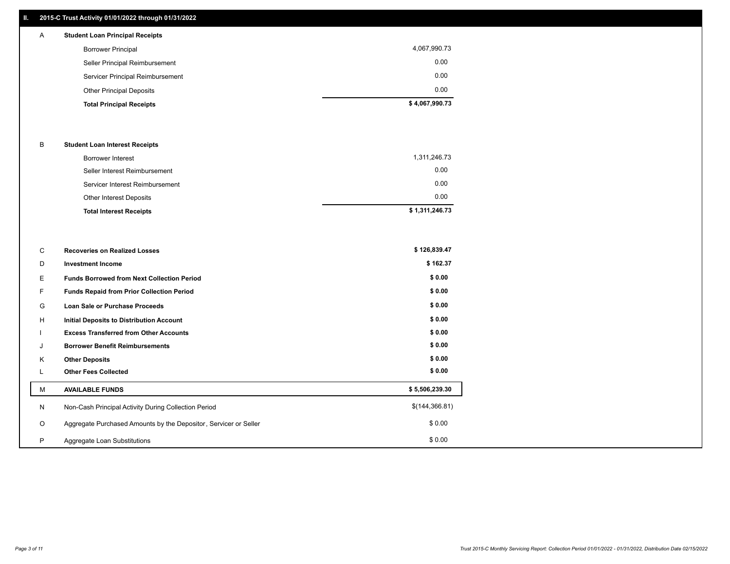## **II. 2015-C Trust Activity 01/01/2022 through 01/31/2022**

# A **Student Loan Principal Receipts**

| \$4,067,990.73 |
|----------------|
| 0.00           |
| 0.00           |
| 0.00           |
| 4,067,990.73   |
|                |

#### B **Student Loan Interest Receipts**

| Borrower Interest               | 1,311,246.73   |
|---------------------------------|----------------|
| Seller Interest Reimbursement   | 0.00           |
| Servicer Interest Reimbursement | 0.00           |
| Other Interest Deposits         | 0.00           |
| <b>Total Interest Receipts</b>  | \$1,311,246.73 |

| С       | <b>Recoveries on Realized Losses</b>                             | \$126,839.47   |
|---------|------------------------------------------------------------------|----------------|
| D       | <b>Investment Income</b>                                         | \$162.37       |
| Е       | <b>Funds Borrowed from Next Collection Period</b>                | \$0.00         |
| F       | Funds Repaid from Prior Collection Period                        | \$0.00         |
| G       | Loan Sale or Purchase Proceeds                                   | \$0.00         |
| H       | <b>Initial Deposits to Distribution Account</b>                  | \$0.00         |
|         | <b>Excess Transferred from Other Accounts</b>                    | \$0.00         |
| J       | <b>Borrower Benefit Reimbursements</b>                           | \$0.00         |
| K       | <b>Other Deposits</b>                                            | \$0.00         |
| L.      | <b>Other Fees Collected</b>                                      | \$0.00         |
| М       | <b>AVAILABLE FUNDS</b>                                           | \$5,506,239.30 |
| N       | Non-Cash Principal Activity During Collection Period             | \$(144,366.81) |
| $\circ$ | Aggregate Purchased Amounts by the Depositor, Servicer or Seller | \$0.00         |
| P       | Aggregate Loan Substitutions                                     | \$0.00         |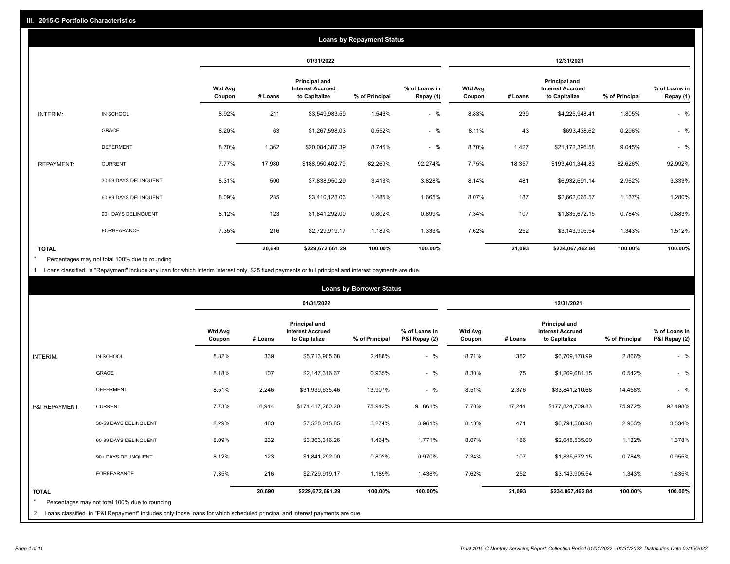|                   | <b>Loans by Repayment Status</b> |                          |            |                                                           |                |                            |                          |         |                                                           |                |                            |
|-------------------|----------------------------------|--------------------------|------------|-----------------------------------------------------------|----------------|----------------------------|--------------------------|---------|-----------------------------------------------------------|----------------|----------------------------|
|                   |                                  |                          | 01/31/2022 |                                                           |                |                            |                          |         | 12/31/2021                                                |                |                            |
|                   |                                  | <b>Wtd Avg</b><br>Coupon | # Loans    | Principal and<br><b>Interest Accrued</b><br>to Capitalize | % of Principal | % of Loans in<br>Repay (1) | <b>Wtd Avg</b><br>Coupon | # Loans | Principal and<br><b>Interest Accrued</b><br>to Capitalize | % of Principal | % of Loans in<br>Repay (1) |
| INTERIM:          | IN SCHOOL                        | 8.92%                    | 211        | \$3,549,983.59                                            | 1.546%         | $-$ %                      | 8.83%                    | 239     | \$4,225,948.41                                            | 1.805%         | $-$ %                      |
|                   | GRACE                            | 8.20%                    | 63         | \$1,267,598.03                                            | 0.552%         | $-$ %                      | 8.11%                    | 43      | \$693,438.62                                              | 0.296%         | $-$ %                      |
|                   | <b>DEFERMENT</b>                 | 8.70%                    | 1,362      | \$20,084,387.39                                           | 8.745%         | $-$ %                      | 8.70%                    | 1,427   | \$21,172,395.58                                           | 9.045%         | $-$ %                      |
| <b>REPAYMENT:</b> | <b>CURRENT</b>                   | 7.77%                    | 17,980     | \$188,950,402.79                                          | 82.269%        | 92.274%                    | 7.75%                    | 18,357  | \$193,401,344.83                                          | 82.626%        | 92.992%                    |
|                   | 30-59 DAYS DELINQUENT            | 8.31%                    | 500        | \$7,838,950.29                                            | 3.413%         | 3.828%                     | 8.14%                    | 481     | \$6,932,691.14                                            | 2.962%         | 3.333%                     |
|                   | 60-89 DAYS DELINQUENT            | 8.09%                    | 235        | \$3,410,128.03                                            | 1.485%         | 1.665%                     | 8.07%                    | 187     | \$2,662,066.57                                            | 1.137%         | 1.280%                     |
|                   | 90+ DAYS DELINQUENT              | 8.12%                    | 123        | \$1,841,292.00                                            | 0.802%         | 0.899%                     | 7.34%                    | 107     | \$1,835,672.15                                            | 0.784%         | 0.883%                     |
|                   | FORBEARANCE                      | 7.35%                    | 216        | \$2,729,919.17                                            | 1.189%         | 1.333%                     | 7.62%                    | 252     | \$3,143,905.54                                            | 1.343%         | 1.512%                     |
| <b>TOTAL</b>      |                                  |                          | 20,690     | \$229,672,661.29                                          | 100.00%        | 100.00%                    |                          | 21,093  | \$234,067,462.84                                          | 100.00%        | 100.00%                    |

Percentages may not total 100% due to rounding \*

1 Loans classified in "Repayment" include any loan for which interim interest only, \$25 fixed payments or full principal and interest payments are due.

|                         | <b>Loans by Borrower Status</b>                                                                                              |                          |            |                                                                  |                |                                |                          |            |                                                                  |                |                                |
|-------------------------|------------------------------------------------------------------------------------------------------------------------------|--------------------------|------------|------------------------------------------------------------------|----------------|--------------------------------|--------------------------|------------|------------------------------------------------------------------|----------------|--------------------------------|
|                         |                                                                                                                              |                          | 01/31/2022 |                                                                  |                |                                |                          | 12/31/2021 |                                                                  |                |                                |
|                         |                                                                                                                              | <b>Wtd Avg</b><br>Coupon | # Loans    | <b>Principal and</b><br><b>Interest Accrued</b><br>to Capitalize | % of Principal | % of Loans in<br>P&I Repay (2) | <b>Wtd Avg</b><br>Coupon | # Loans    | <b>Principal and</b><br><b>Interest Accrued</b><br>to Capitalize | % of Principal | % of Loans in<br>P&I Repay (2) |
| INTERIM:                | IN SCHOOL                                                                                                                    | 8.82%                    | 339        | \$5,713,905.68                                                   | 2.488%         | $-$ %                          | 8.71%                    | 382        | \$6,709,178.99                                                   | 2.866%         | $-$ %                          |
|                         | <b>GRACE</b>                                                                                                                 | 8.18%                    | 107        | \$2,147,316.67                                                   | 0.935%         | $-$ %                          | 8.30%                    | 75         | \$1,269,681.15                                                   | 0.542%         | $-$ %                          |
|                         | <b>DEFERMENT</b>                                                                                                             | 8.51%                    | 2,246      | \$31,939,635.46                                                  | 13.907%        | $-$ %                          | 8.51%                    | 2,376      | \$33,841,210.68                                                  | 14.458%        | $-$ %                          |
| P&I REPAYMENT:          | <b>CURRENT</b>                                                                                                               | 7.73%                    | 16,944     | \$174,417,260.20                                                 | 75.942%        | 91.861%                        | 7.70%                    | 17,244     | \$177,824,709.83                                                 | 75.972%        | 92.498%                        |
|                         | 30-59 DAYS DELINQUENT                                                                                                        | 8.29%                    | 483        | \$7,520,015.85                                                   | 3.274%         | 3.961%                         | 8.13%                    | 471        | \$6,794,568.90                                                   | 2.903%         | 3.534%                         |
|                         | 60-89 DAYS DELINQUENT                                                                                                        | 8.09%                    | 232        | \$3,363,316.26                                                   | 1.464%         | 1.771%                         | 8.07%                    | 186        | \$2,648,535.60                                                   | 1.132%         | 1.378%                         |
|                         | 90+ DAYS DELINQUENT                                                                                                          | 8.12%                    | 123        | \$1,841,292.00                                                   | 0.802%         | 0.970%                         | 7.34%                    | 107        | \$1,835,672.15                                                   | 0.784%         | 0.955%                         |
|                         | FORBEARANCE                                                                                                                  | 7.35%                    | 216        | \$2,729,919.17                                                   | 1.189%         | 1.438%                         | 7.62%                    | 252        | \$3,143,905.54                                                   | 1.343%         | 1.635%                         |
| <b>TOTAL</b><br>$\star$ | Percentages may not total 100% due to rounding                                                                               |                          | 20,690     | \$229,672,661.29                                                 | 100.00%        | 100.00%                        |                          | 21,093     | \$234,067,462.84                                                 | 100.00%        | 100.00%                        |
|                         | 2 Loans classified in "P&I Repayment" includes only those loans for which scheduled principal and interest payments are due. |                          |            |                                                                  |                |                                |                          |            |                                                                  |                |                                |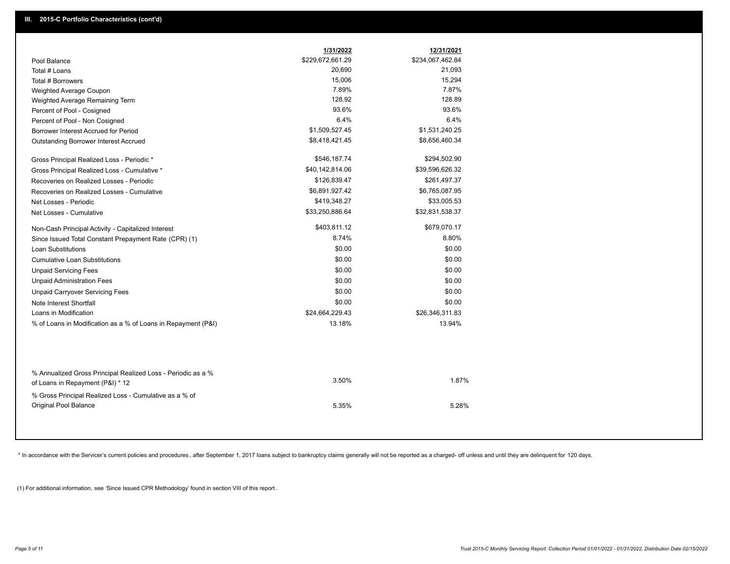|                                                                                                  | 1/31/2022        | 12/31/2021       |
|--------------------------------------------------------------------------------------------------|------------------|------------------|
| Pool Balance                                                                                     | \$229,672,661.29 | \$234,067,462.84 |
| Total # Loans                                                                                    | 20,690           | 21,093           |
| Total # Borrowers                                                                                | 15,006           | 15,294           |
| Weighted Average Coupon                                                                          | 7.89%            | 7.87%            |
| Weighted Average Remaining Term                                                                  | 128.92           | 128.89           |
| Percent of Pool - Cosigned                                                                       | 93.6%            | 93.6%            |
| Percent of Pool - Non Cosigned                                                                   | 6.4%             | 6.4%             |
| Borrower Interest Accrued for Period                                                             | \$1,509,527.45   | \$1,531,240.25   |
| Outstanding Borrower Interest Accrued                                                            | \$8,418,421.45   | \$8,656,460.34   |
| Gross Principal Realized Loss - Periodic *                                                       | \$546,187.74     | \$294,502.90     |
| Gross Principal Realized Loss - Cumulative *                                                     | \$40,142,814.06  | \$39,596,626.32  |
| Recoveries on Realized Losses - Periodic                                                         | \$126,839.47     | \$261,497.37     |
| Recoveries on Realized Losses - Cumulative                                                       | \$6,891,927.42   | \$6,765,087.95   |
| Net Losses - Periodic                                                                            | \$419,348.27     | \$33,005.53      |
| Net Losses - Cumulative                                                                          | \$33,250,886.64  | \$32,831,538.37  |
| Non-Cash Principal Activity - Capitalized Interest                                               | \$403,811.12     | \$679,070.17     |
| Since Issued Total Constant Prepayment Rate (CPR) (1)                                            | 8.74%            | 8.80%            |
| <b>Loan Substitutions</b>                                                                        | \$0.00           | \$0.00           |
| <b>Cumulative Loan Substitutions</b>                                                             | \$0.00           | \$0.00           |
| <b>Unpaid Servicing Fees</b>                                                                     | \$0.00           | \$0.00           |
| <b>Unpaid Administration Fees</b>                                                                | \$0.00           | \$0.00           |
| <b>Unpaid Carryover Servicing Fees</b>                                                           | \$0.00           | \$0.00           |
| Note Interest Shortfall                                                                          | \$0.00           | \$0.00           |
| Loans in Modification                                                                            | \$24,664,229.43  | \$26,346,311.83  |
| % of Loans in Modification as a % of Loans in Repayment (P&I)                                    | 13.18%           | 13.94%           |
|                                                                                                  |                  |                  |
| % Annualized Gross Principal Realized Loss - Periodic as a %<br>of Loans in Repayment (P&I) * 12 | 3.50%            | 1.87%            |
| % Gross Principal Realized Loss - Cumulative as a % of<br><b>Original Pool Balance</b>           | 5.35%            | 5.28%            |

\* In accordance with the Servicer's current policies and procedures, after September 1, 2017 loans subject to bankruptcy claims generally will not be reported as a charged- off unless and until they are delinquent for 120

(1) For additional information, see 'Since Issued CPR Methodology' found in section VIII of this report .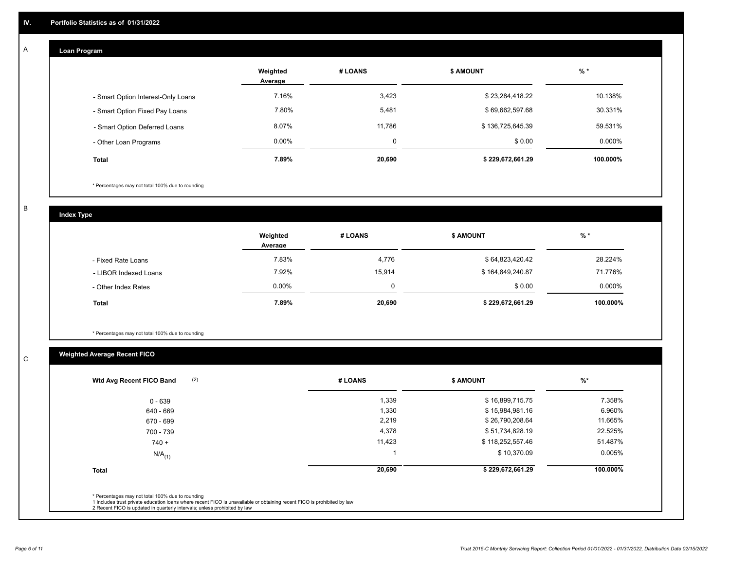## **Loan Program**

A

|                                    | Weighted<br>Average | # LOANS | <b>\$ AMOUNT</b> | $%$ *     |
|------------------------------------|---------------------|---------|------------------|-----------|
| - Smart Option Interest-Only Loans | 7.16%               | 3,423   | \$23,284,418.22  | 10.138%   |
| - Smart Option Fixed Pay Loans     | 7.80%               | 5,481   | \$69,662,597.68  | 30.331%   |
| - Smart Option Deferred Loans      | 8.07%               | 11.786  | \$136,725,645.39 | 59.531%   |
| - Other Loan Programs              | $0.00\%$            | 0       | \$0.00           | $0.000\%$ |
| <b>Total</b>                       | 7.89%               | 20,690  | \$229,672,661.29 | 100.000%  |

\* Percentages may not total 100% due to rounding

B

C

**Index Type**

|                       | Weighted<br>Average | # LOANS | \$ AMOUNT        | % *       |
|-----------------------|---------------------|---------|------------------|-----------|
| - Fixed Rate Loans    | 7.83%               | 4,776   | \$64,823,420.42  | 28.224%   |
| - LIBOR Indexed Loans | 7.92%               | 15.914  | \$164,849,240.87 | 71.776%   |
| - Other Index Rates   | $0.00\%$            | 0       | \$0.00           | $0.000\%$ |
| <b>Total</b>          | 7.89%               | 20,690  | \$229,672,661.29 | 100.000%  |

\* Percentages may not total 100% due to rounding

# **Weighted Average Recent FICO**

| 1,339<br>1,330<br>2,219 | \$16,899,715.75<br>\$15,984,981.16<br>\$26,790,208.64 | 7.358%<br>6.960%<br>11.665% |
|-------------------------|-------------------------------------------------------|-----------------------------|
|                         |                                                       |                             |
|                         |                                                       |                             |
|                         |                                                       |                             |
| 4,378                   | \$51,734,828.19                                       | 22.525%                     |
| 11,423                  | \$118,252,557.46                                      | 51.487%                     |
|                         | \$10,370.09                                           | 0.005%                      |
| 20,690                  | \$229,672,661.29                                      | 100.000%                    |
|                         |                                                       |                             |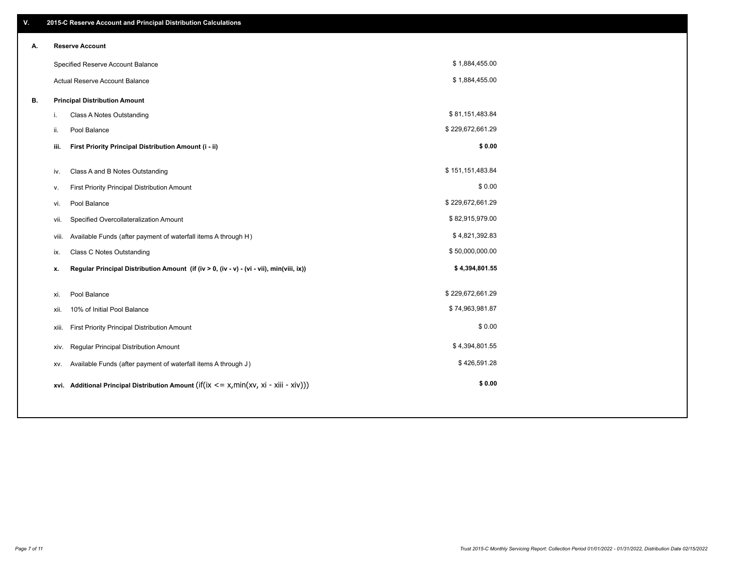| ۷. |       | 2015-C Reserve Account and Principal Distribution Calculations                                      |                  |  |
|----|-------|-----------------------------------------------------------------------------------------------------|------------------|--|
| А. |       | <b>Reserve Account</b>                                                                              |                  |  |
|    |       | Specified Reserve Account Balance                                                                   | \$1,884,455.00   |  |
|    |       | Actual Reserve Account Balance                                                                      | \$1,884,455.00   |  |
| В. |       | <b>Principal Distribution Amount</b>                                                                |                  |  |
|    | i.    | Class A Notes Outstanding                                                                           | \$81,151,483.84  |  |
|    | ii.   | Pool Balance                                                                                        | \$229,672,661.29 |  |
|    | iii.  | First Priority Principal Distribution Amount (i - ii)                                               | \$0.00           |  |
|    |       |                                                                                                     |                  |  |
|    | iv.   | Class A and B Notes Outstanding                                                                     | \$151,151,483.84 |  |
|    | v.    | First Priority Principal Distribution Amount                                                        | \$0.00           |  |
|    | vi.   | Pool Balance                                                                                        | \$229,672,661.29 |  |
|    | vii.  | Specified Overcollateralization Amount                                                              | \$82,915,979.00  |  |
|    | viii. | Available Funds (after payment of waterfall items A through H)                                      | \$4,821,392.83   |  |
|    | ix.   | <b>Class C Notes Outstanding</b>                                                                    | \$50,000,000.00  |  |
|    | х.    | Regular Principal Distribution Amount (if (iv > 0, (iv - v) - (vi - vii), min(viii, ix))            | \$4,394,801.55   |  |
|    |       |                                                                                                     |                  |  |
|    | xi.   | Pool Balance                                                                                        | \$229,672,661.29 |  |
|    | xii.  | 10% of Initial Pool Balance                                                                         | \$74,963,981.87  |  |
|    | xiii. | First Priority Principal Distribution Amount                                                        | \$0.00           |  |
|    | XIV.  | Regular Principal Distribution Amount                                                               | \$4,394,801.55   |  |
|    | XV.   | Available Funds (after payment of waterfall items A through J)                                      | \$426,591.28     |  |
|    |       | xvi. Additional Principal Distribution Amount (if( $ix \le x$ , min( $xv$ , $xi$ - $xiii - xiv$ ))) | \$0.00           |  |
|    |       |                                                                                                     |                  |  |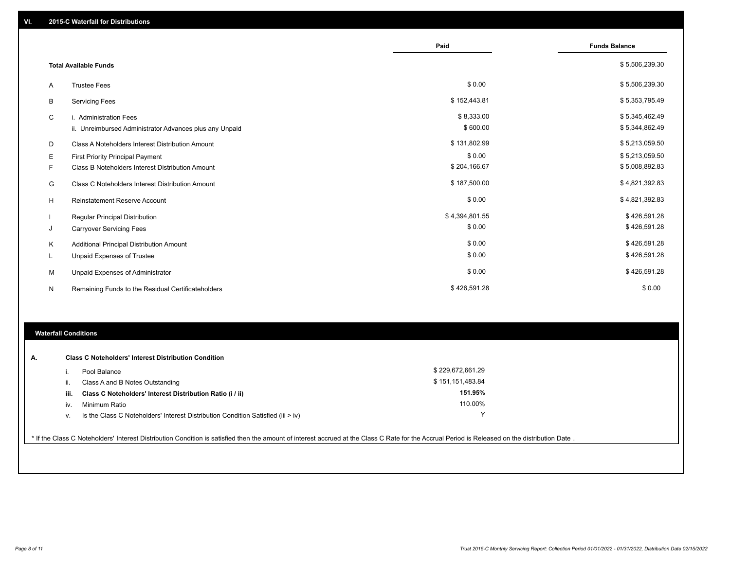|   |                                                         | Paid           | <b>Funds Balance</b> |
|---|---------------------------------------------------------|----------------|----------------------|
|   | <b>Total Available Funds</b>                            |                | \$5,506,239.30       |
| A | <b>Trustee Fees</b>                                     | \$0.00         | \$5,506,239.30       |
| B | <b>Servicing Fees</b>                                   | \$152,443.81   | \$5,353,795.49       |
| C | i. Administration Fees                                  | \$8,333.00     | \$5,345,462.49       |
|   | ii. Unreimbursed Administrator Advances plus any Unpaid | \$600.00       | \$5,344,862.49       |
| D | Class A Noteholders Interest Distribution Amount        | \$131,802.99   | \$5,213,059.50       |
| Е | <b>First Priority Principal Payment</b>                 | \$0.00         | \$5,213,059.50       |
| F | Class B Noteholders Interest Distribution Amount        | \$204,166.67   | \$5,008,892.83       |
| G | <b>Class C Noteholders Interest Distribution Amount</b> | \$187,500.00   | \$4,821,392.83       |
| H | <b>Reinstatement Reserve Account</b>                    | \$0.00         | \$4,821,392.83       |
|   | <b>Regular Principal Distribution</b>                   | \$4,394,801.55 | \$426,591.28         |
| J | <b>Carryover Servicing Fees</b>                         | \$0.00         | \$426,591.28         |
| Κ | Additional Principal Distribution Amount                | \$0.00         | \$426,591.28         |
| L | Unpaid Expenses of Trustee                              | \$0.00         | \$426,591.28         |
| м | Unpaid Expenses of Administrator                        | \$0.00         | \$426,591.28         |
| N | Remaining Funds to the Residual Certificateholders      | \$426,591.28   | \$0.00               |

## **Waterfall Conditions**

| А. |      | <b>Class C Noteholders' Interest Distribution Condition</b>                        |                  |  |
|----|------|------------------------------------------------------------------------------------|------------------|--|
|    |      | Pool Balance                                                                       | \$229,672,661.29 |  |
|    | ii.  | Class A and B Notes Outstanding                                                    | \$151,151,483.84 |  |
|    | iii. | Class C Noteholders' Interest Distribution Ratio (i / ii)                          | 151.95%          |  |
|    | iv.  | Minimum Ratio                                                                      | 110.00%          |  |
|    | V.   | Is the Class C Noteholders' Interest Distribution Condition Satisfied (iii $>$ iv) |                  |  |
|    |      |                                                                                    |                  |  |

\* If the Class C Noteholders' Interest Distribution Condition is satisfied then the amount of interest accrued at the Class C Rate for the Accrual Period is Released on the distribution Date .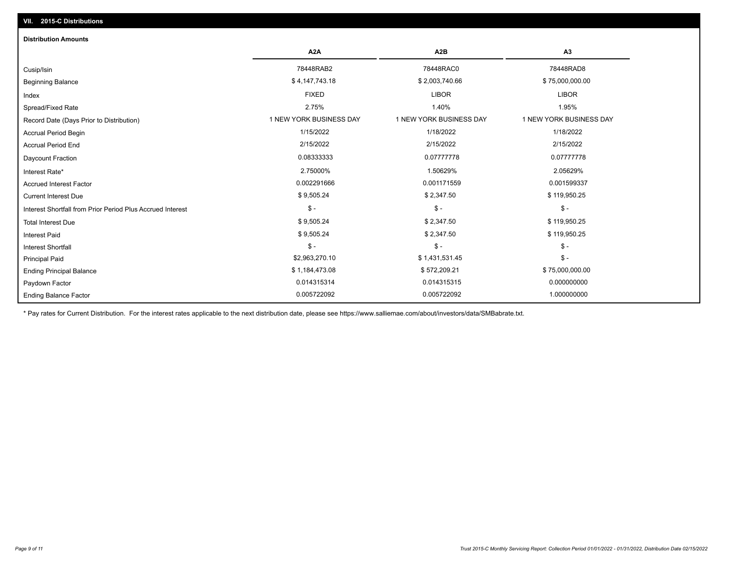| <b>Distribution Amounts</b>                                |                         |                         |                         |
|------------------------------------------------------------|-------------------------|-------------------------|-------------------------|
|                                                            | A <sub>2</sub> A        | A <sub>2</sub> B        | A <sub>3</sub>          |
| Cusip/Isin                                                 | 78448RAB2               | 78448RAC0               | 78448RAD8               |
| <b>Beginning Balance</b>                                   | \$4,147,743.18          | \$2,003,740.66          | \$75,000,000.00         |
| Index                                                      | <b>FIXED</b>            | <b>LIBOR</b>            | <b>LIBOR</b>            |
| Spread/Fixed Rate                                          | 2.75%                   | 1.40%                   | 1.95%                   |
| Record Date (Days Prior to Distribution)                   | 1 NEW YORK BUSINESS DAY | 1 NEW YORK BUSINESS DAY | 1 NEW YORK BUSINESS DAY |
| Accrual Period Begin                                       | 1/15/2022               | 1/18/2022               | 1/18/2022               |
| <b>Accrual Period End</b>                                  | 2/15/2022               | 2/15/2022               | 2/15/2022               |
| Daycount Fraction                                          | 0.08333333              | 0.07777778              | 0.07777778              |
| Interest Rate*                                             | 2.75000%                | 1.50629%                | 2.05629%                |
| <b>Accrued Interest Factor</b>                             | 0.002291666             | 0.001171559             | 0.001599337             |
| <b>Current Interest Due</b>                                | \$9,505.24              | \$2,347.50              | \$119,950.25            |
| Interest Shortfall from Prior Period Plus Accrued Interest | $\mathsf{\$}$ -         | $$ -$                   | $\mathsf{\$}$ -         |
| <b>Total Interest Due</b>                                  | \$9,505.24              | \$2,347.50              | \$119,950.25            |
| <b>Interest Paid</b>                                       | \$9,505.24              | \$2,347.50              | \$119,950.25            |
| <b>Interest Shortfall</b>                                  | $\mathsf{\$}$ -         | $$ -$                   | $$ -$                   |
| <b>Principal Paid</b>                                      | \$2,963,270.10          | \$1,431,531.45          | $$ -$                   |
| <b>Ending Principal Balance</b>                            | \$1,184,473.08          | \$572,209.21            | \$75,000,000.00         |
| Paydown Factor                                             | 0.014315314             | 0.014315315             | 0.000000000             |
| <b>Ending Balance Factor</b>                               | 0.005722092             | 0.005722092             | 1.000000000             |

\* Pay rates for Current Distribution. For the interest rates applicable to the next distribution date, please see https://www.salliemae.com/about/investors/data/SMBabrate.txt.

**VII. 2015-C Distributions**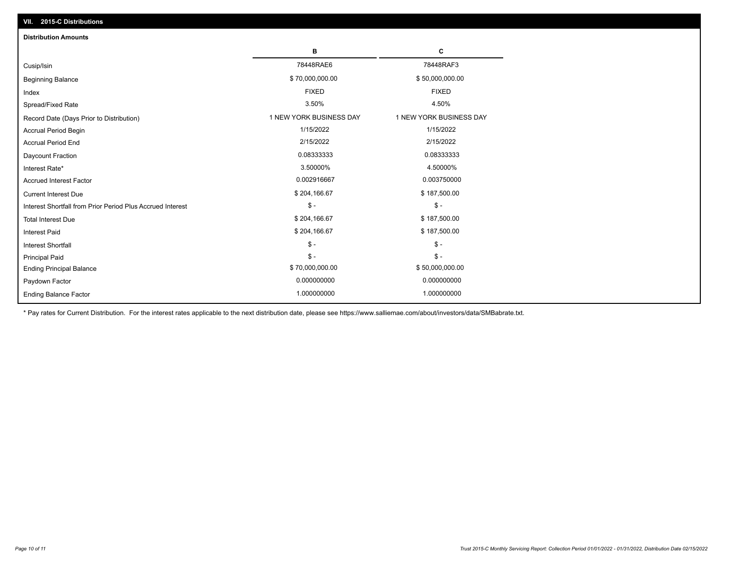| VII. 2015-C Distributions                                  |                         |                         |
|------------------------------------------------------------|-------------------------|-------------------------|
| <b>Distribution Amounts</b>                                |                         |                         |
|                                                            | в                       | С                       |
| Cusip/Isin                                                 | 78448RAE6               | 78448RAF3               |
| <b>Beginning Balance</b>                                   | \$70,000,000.00         | \$50,000,000.00         |
| Index                                                      | <b>FIXED</b>            | <b>FIXED</b>            |
| Spread/Fixed Rate                                          | 3.50%                   | 4.50%                   |
| Record Date (Days Prior to Distribution)                   | 1 NEW YORK BUSINESS DAY | 1 NEW YORK BUSINESS DAY |
| <b>Accrual Period Begin</b>                                | 1/15/2022               | 1/15/2022               |
| <b>Accrual Period End</b>                                  | 2/15/2022               | 2/15/2022               |
| Daycount Fraction                                          | 0.08333333              | 0.08333333              |
| Interest Rate*                                             | 3.50000%                | 4.50000%                |
| <b>Accrued Interest Factor</b>                             | 0.002916667             | 0.003750000             |
| <b>Current Interest Due</b>                                | \$204,166.67            | \$187,500.00            |
| Interest Shortfall from Prior Period Plus Accrued Interest | $\frac{1}{2}$           | $\mathsf{\$}$ -         |
| <b>Total Interest Due</b>                                  | \$204,166.67            | \$187,500.00            |
| Interest Paid                                              | \$204,166.67            | \$187,500.00            |
| Interest Shortfall                                         | $$ -$                   | $\frac{1}{2}$           |
| <b>Principal Paid</b>                                      | $\mathsf{\$}$ -         | $$ -$                   |
| <b>Ending Principal Balance</b>                            | \$70,000,000.00         | \$50,000,000.00         |
| Paydown Factor                                             | 0.000000000             | 0.000000000             |
| <b>Ending Balance Factor</b>                               | 1.000000000             | 1.000000000             |

\* Pay rates for Current Distribution. For the interest rates applicable to the next distribution date, please see https://www.salliemae.com/about/investors/data/SMBabrate.txt.